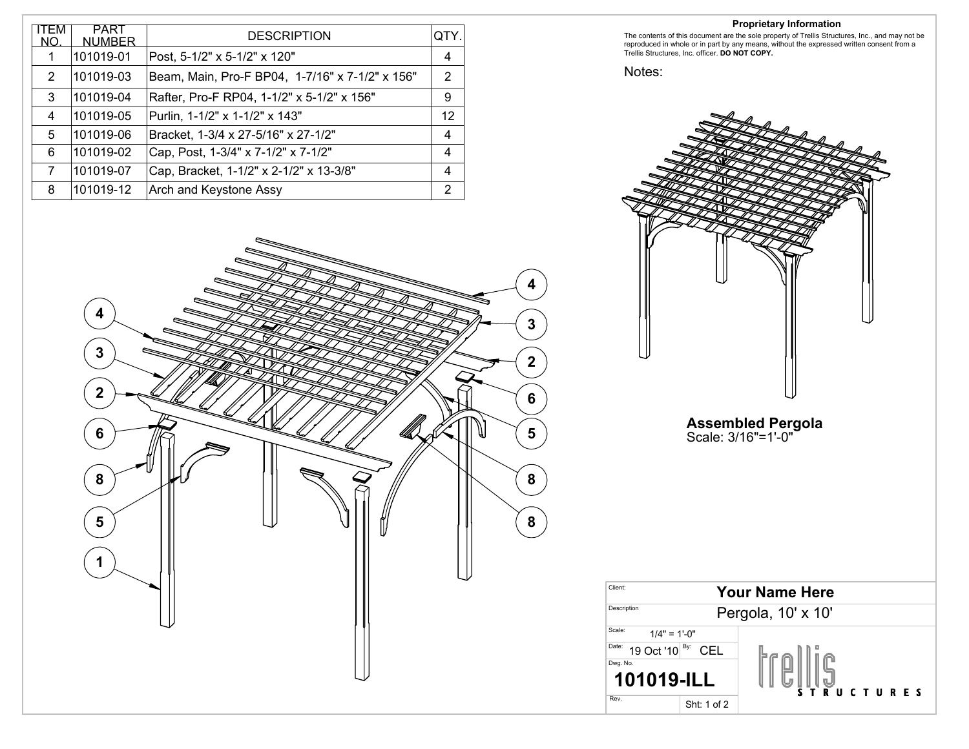| I⊢M<br>NO. | <b>PART</b><br><b>NUMBER</b> | <b>DESCRIPTION</b>                              | IQTY.          |
|------------|------------------------------|-------------------------------------------------|----------------|
|            | 101019-01                    | Post, 5-1/2" x 5-1/2" x 120"                    | 4              |
| 2          | 101019-03                    | Beam, Main, Pro-F BP04, 1-7/16" x 7-1/2" x 156" | $\overline{2}$ |
| 3          | 101019-04                    | Rafter, Pro-F RP04, 1-1/2" x 5-1/2" x 156"      | 9              |
| 4          | 101019-05                    | Purlin, 1-1/2" x 1-1/2" x 143"                  | 12             |
| 5          | 101019-06                    | Bracket, 1-3/4 x 27-5/16" x 27-1/2"             | 4              |
| 6          | 101019-02                    | Cap, Post, 1-3/4" x 7-1/2" x 7-1/2"             | 4              |
| 7          | 101019-07                    | Cap, Bracket, 1-1/2" x 2-1/2" x 13-3/8"         | 4              |
| 8          | 101019-12                    | <b>Arch and Keystone Assy</b>                   | 2              |



The contents of this document are the sole property of Trellis Structures, Inc., and may not be reproduced in whole or in part by any means, without the expressed written consent from a Trellis Structures, Inc. officer. **DO NOT COPY.**

Notes:



![](_page_0_Figure_5.jpeg)